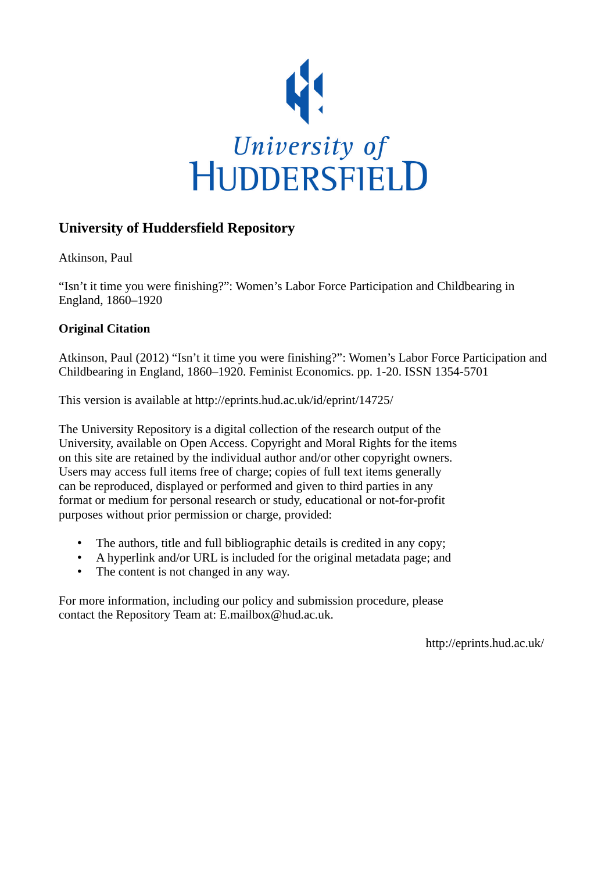

## **University of Huddersfield Repository**

Atkinson, Paul

"Isn't it time you were finishing?": Women's Labor Force Participation and Childbearing in England, 1860–1920

### **Original Citation**

Atkinson, Paul (2012) "Isn't it time you were finishing?": Women's Labor Force Participation and Childbearing in England, 1860–1920. Feminist Economics. pp. 1-20. ISSN 1354-5701

This version is available at http://eprints.hud.ac.uk/id/eprint/14725/

The University Repository is a digital collection of the research output of the University, available on Open Access. Copyright and Moral Rights for the items on this site are retained by the individual author and/or other copyright owners. Users may access full items free of charge; copies of full text items generally can be reproduced, displayed or performed and given to third parties in any format or medium for personal research or study, educational or not-for-profit purposes without prior permission or charge, provided:

- The authors, title and full bibliographic details is credited in any copy;
- A hyperlink and/or URL is included for the original metadata page; and
- The content is not changed in any way.

For more information, including our policy and submission procedure, please contact the Repository Team at: E.mailbox@hud.ac.uk.

http://eprints.hud.ac.uk/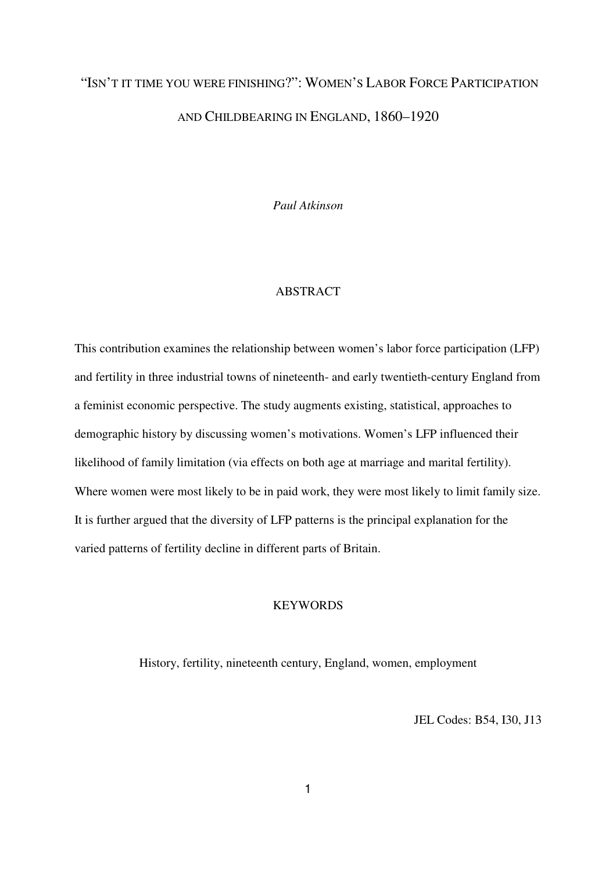# "ISN'T IT TIME YOU WERE FINISHING?": WOMEN'S LABOR FORCE PARTICIPATION AND CHILDBEARING IN ENGLAND, 1860–1920

*Paul Atkinson* 

#### ABSTRACT

This contribution examines the relationship between women's labor force participation (LFP) and fertility in three industrial towns of nineteenth- and early twentieth-century England from a feminist economic perspective. The study augments existing, statistical, approaches to demographic history by discussing women's motivations. Women's LFP influenced their likelihood of family limitation (via effects on both age at marriage and marital fertility). Where women were most likely to be in paid work, they were most likely to limit family size. It is further argued that the diversity of LFP patterns is the principal explanation for the varied patterns of fertility decline in different parts of Britain.

#### **KEYWORDS**

History, fertility, nineteenth century, England, women, employment

JEL Codes: B54, I30, J13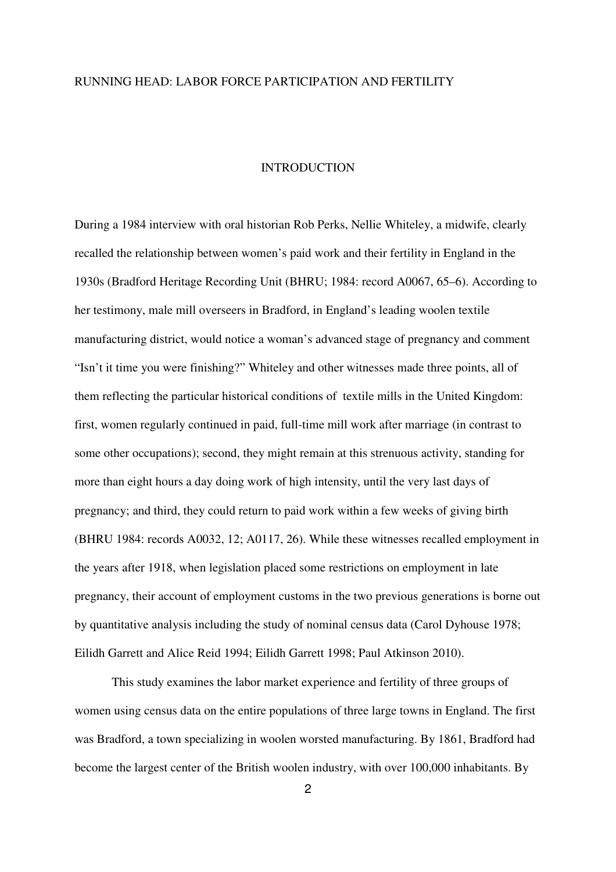#### RUNNING HEAD: LABOR FORCE PARTICIPATION AND FERTILITY

#### INTRODUCTION

During a 1984 interview with oral historian Rob Perks, Nellie Whiteley, a midwife, clearly recalled the relationship between women's paid work and their fertility in England in the 1930s (Bradford Heritage Recording Unit (BHRU; 1984: record A0067, 65–6). According to her testimony, male mill overseers in Bradford, in England's leading woolen textile manufacturing district, would notice a woman's advanced stage of pregnancy and comment "Isn't it time you were finishing?" Whiteley and other witnesses made three points, all of them reflecting the particular historical conditions of textile mills in the United Kingdom: first, women regularly continued in paid, full-time mill work after marriage (in contrast to some other occupations); second, they might remain at this strenuous activity, standing for more than eight hours a day doing work of high intensity, until the very last days of pregnancy; and third, they could return to paid work within a few weeks of giving birth (BHRU 1984: records A0032, 12; A0117, 26). While these witnesses recalled employment in the years after 1918, when legislation placed some restrictions on employment in late pregnancy, their account of employment customs in the two previous generations is borne out by quantitative analysis including the study of nominal census data (Carol Dyhouse 1978; Eilidh Garrett and Alice Reid 1994; Eilidh Garrett 1998; Paul Atkinson 2010).

This study examines the labor market experience and fertility of three groups of women using census data on the entire populations of three large towns in England. The first was Bradford, a town specializing in woolen worsted manufacturing. By 1861, Bradford had become the largest center of the British woolen industry, with over 100,000 inhabitants. By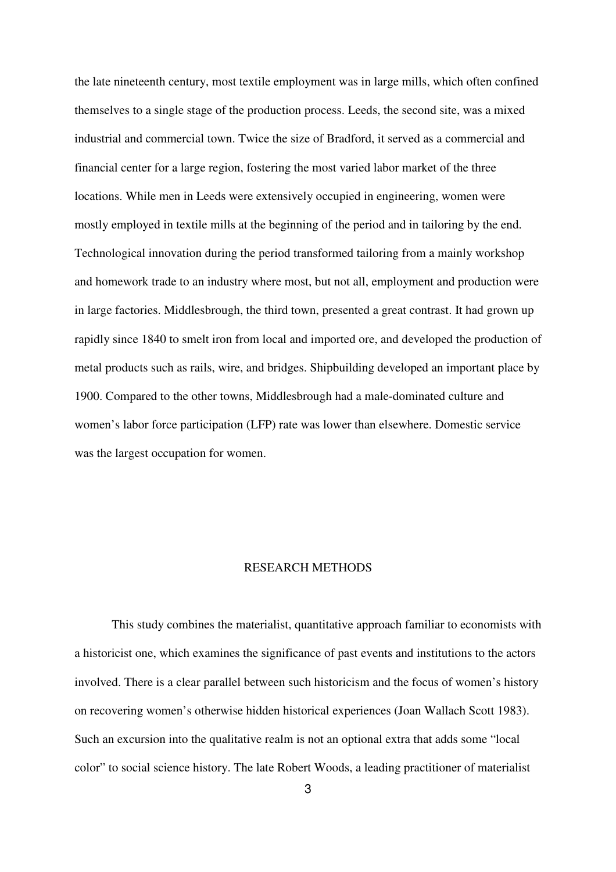the late nineteenth century, most textile employment was in large mills, which often confined themselves to a single stage of the production process. Leeds, the second site, was a mixed industrial and commercial town. Twice the size of Bradford, it served as a commercial and financial center for a large region, fostering the most varied labor market of the three locations. While men in Leeds were extensively occupied in engineering, women were mostly employed in textile mills at the beginning of the period and in tailoring by the end. Technological innovation during the period transformed tailoring from a mainly workshop and homework trade to an industry where most, but not all, employment and production were in large factories. Middlesbrough, the third town, presented a great contrast. It had grown up rapidly since 1840 to smelt iron from local and imported ore, and developed the production of metal products such as rails, wire, and bridges. Shipbuilding developed an important place by 1900. Compared to the other towns, Middlesbrough had a male-dominated culture and women's labor force participation (LFP) rate was lower than elsewhere. Domestic service was the largest occupation for women.

#### RESEARCH METHODS

This study combines the materialist, quantitative approach familiar to economists with a historicist one, which examines the significance of past events and institutions to the actors involved. There is a clear parallel between such historicism and the focus of women's history on recovering women's otherwise hidden historical experiences (Joan Wallach Scott 1983). Such an excursion into the qualitative realm is not an optional extra that adds some "local color" to social science history. The late Robert Woods, a leading practitioner of materialist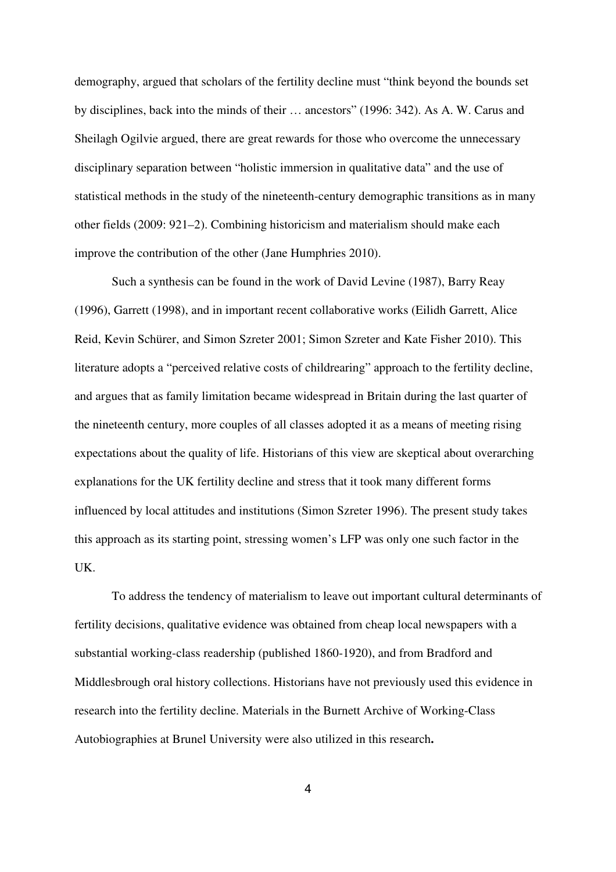demography, argued that scholars of the fertility decline must "think beyond the bounds set by disciplines, back into the minds of their … ancestors" (1996: 342). As A. W. Carus and Sheilagh Ogilvie argued, there are great rewards for those who overcome the unnecessary disciplinary separation between "holistic immersion in qualitative data" and the use of statistical methods in the study of the nineteenth-century demographic transitions as in many other fields (2009: 921–2). Combining historicism and materialism should make each improve the contribution of the other (Jane Humphries 2010).

Such a synthesis can be found in the work of David Levine (1987), Barry Reay (1996), Garrett (1998), and in important recent collaborative works (Eilidh Garrett, Alice Reid, Kevin Schürer, and Simon Szreter 2001; Simon Szreter and Kate Fisher 2010). This literature adopts a "perceived relative costs of childrearing" approach to the fertility decline, and argues that as family limitation became widespread in Britain during the last quarter of the nineteenth century, more couples of all classes adopted it as a means of meeting rising expectations about the quality of life. Historians of this view are skeptical about overarching explanations for the UK fertility decline and stress that it took many different forms influenced by local attitudes and institutions (Simon Szreter 1996). The present study takes this approach as its starting point, stressing women's LFP was only one such factor in the UK.

 To address the tendency of materialism to leave out important cultural determinants of fertility decisions, qualitative evidence was obtained from cheap local newspapers with a substantial working-class readership (published 1860-1920), and from Bradford and Middlesbrough oral history collections. Historians have not previously used this evidence in research into the fertility decline. Materials in the Burnett Archive of Working-Class Autobiographies at Brunel University were also utilized in this research**.**

4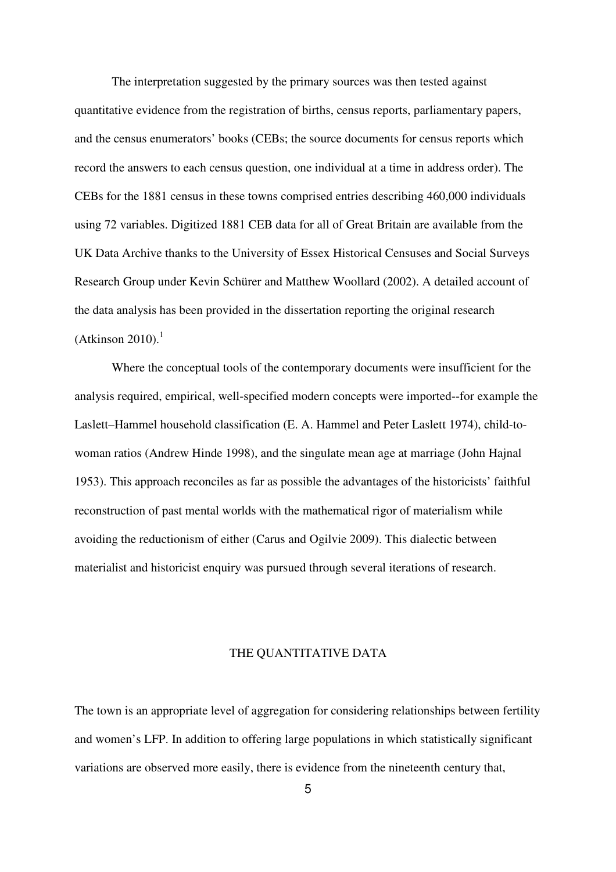The interpretation suggested by the primary sources was then tested against quantitative evidence from the registration of births, census reports, parliamentary papers, and the census enumerators' books (CEBs; the source documents for census reports which record the answers to each census question, one individual at a time in address order). The CEBs for the 1881 census in these towns comprised entries describing 460,000 individuals using 72 variables. Digitized 1881 CEB data for all of Great Britain are available from the UK Data Archive thanks to the University of Essex Historical Censuses and Social Surveys Research Group under Kevin Schürer and Matthew Woollard (2002). A detailed account of the data analysis has been provided in the dissertation reporting the original research (Atkinson 2010). $<sup>1</sup>$ </sup>

Where the conceptual tools of the contemporary documents were insufficient for the analysis required, empirical, well-specified modern concepts were imported--for example the Laslett–Hammel household classification (E. A. Hammel and Peter Laslett 1974), child-towoman ratios (Andrew Hinde 1998), and the singulate mean age at marriage (John Hajnal 1953). This approach reconciles as far as possible the advantages of the historicists' faithful reconstruction of past mental worlds with the mathematical rigor of materialism while avoiding the reductionism of either (Carus and Ogilvie 2009). This dialectic between materialist and historicist enquiry was pursued through several iterations of research.

#### THE QUANTITATIVE DATA

The town is an appropriate level of aggregation for considering relationships between fertility and women's LFP. In addition to offering large populations in which statistically significant variations are observed more easily, there is evidence from the nineteenth century that,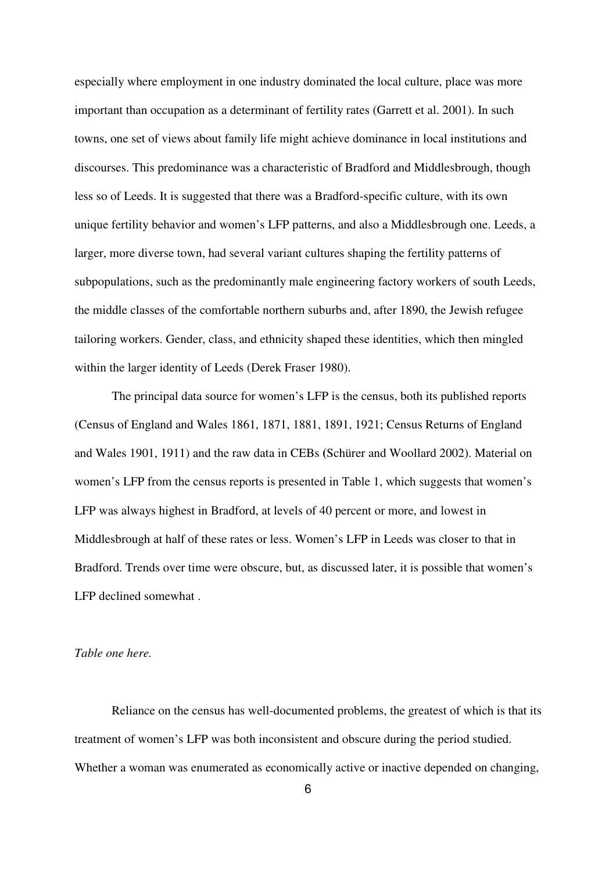especially where employment in one industry dominated the local culture, place was more important than occupation as a determinant of fertility rates (Garrett et al. 2001). In such towns, one set of views about family life might achieve dominance in local institutions and discourses. This predominance was a characteristic of Bradford and Middlesbrough, though less so of Leeds. It is suggested that there was a Bradford-specific culture, with its own unique fertility behavior and women's LFP patterns, and also a Middlesbrough one. Leeds, a larger, more diverse town, had several variant cultures shaping the fertility patterns of subpopulations, such as the predominantly male engineering factory workers of south Leeds, the middle classes of the comfortable northern suburbs and, after 1890, the Jewish refugee tailoring workers. Gender, class, and ethnicity shaped these identities, which then mingled within the larger identity of Leeds (Derek Fraser 1980).

The principal data source for women's LFP is the census, both its published reports (Census of England and Wales 1861, 1871, 1881, 1891, 1921; Census Returns of England and Wales 1901, 1911) and the raw data in CEBs **(**Schürer and Woollard 2002). Material on women's LFP from the census reports is presented in Table 1, which suggests that women's LFP was always highest in Bradford, at levels of 40 percent or more, and lowest in Middlesbrough at half of these rates or less. Women's LFP in Leeds was closer to that in Bradford. Trends over time were obscure, but, as discussed later, it is possible that women's LFP declined somewhat .

#### *Table one here.*

Reliance on the census has well-documented problems, the greatest of which is that its treatment of women's LFP was both inconsistent and obscure during the period studied. Whether a woman was enumerated as economically active or inactive depended on changing,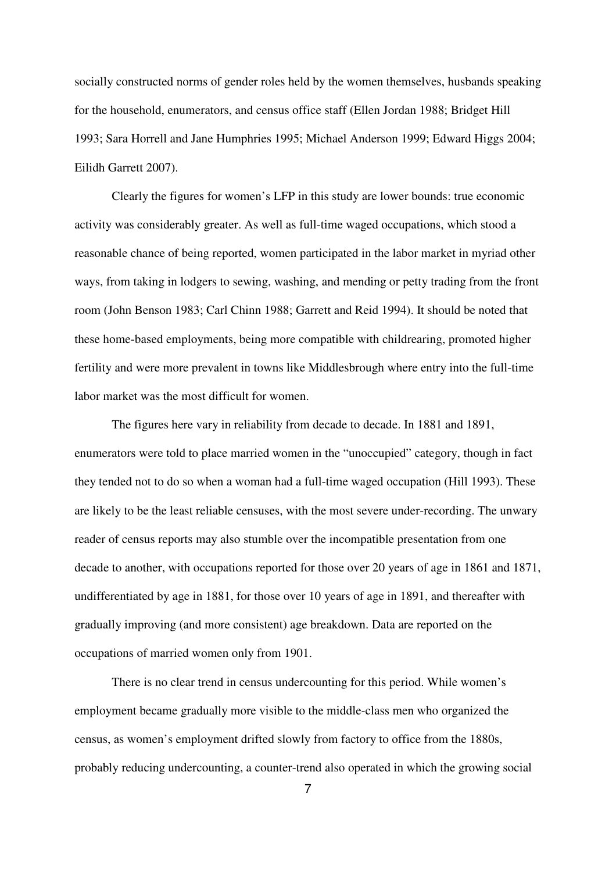socially constructed norms of gender roles held by the women themselves, husbands speaking for the household, enumerators, and census office staff (Ellen Jordan 1988; Bridget Hill 1993; Sara Horrell and Jane Humphries 1995; Michael Anderson 1999; Edward Higgs 2004; Eilidh Garrett 2007).

Clearly the figures for women's LFP in this study are lower bounds: true economic activity was considerably greater. As well as full-time waged occupations, which stood a reasonable chance of being reported, women participated in the labor market in myriad other ways, from taking in lodgers to sewing, washing, and mending or petty trading from the front room (John Benson 1983; Carl Chinn 1988; Garrett and Reid 1994). It should be noted that these home-based employments, being more compatible with childrearing, promoted higher fertility and were more prevalent in towns like Middlesbrough where entry into the full-time labor market was the most difficult for women.

The figures here vary in reliability from decade to decade. In 1881 and 1891, enumerators were told to place married women in the "unoccupied" category, though in fact they tended not to do so when a woman had a full-time waged occupation (Hill 1993). These are likely to be the least reliable censuses, with the most severe under-recording. The unwary reader of census reports may also stumble over the incompatible presentation from one decade to another, with occupations reported for those over 20 years of age in 1861 and 1871, undifferentiated by age in 1881, for those over 10 years of age in 1891, and thereafter with gradually improving (and more consistent) age breakdown. Data are reported on the occupations of married women only from 1901.

There is no clear trend in census undercounting for this period. While women's employment became gradually more visible to the middle-class men who organized the census, as women's employment drifted slowly from factory to office from the 1880s, probably reducing undercounting, a counter-trend also operated in which the growing social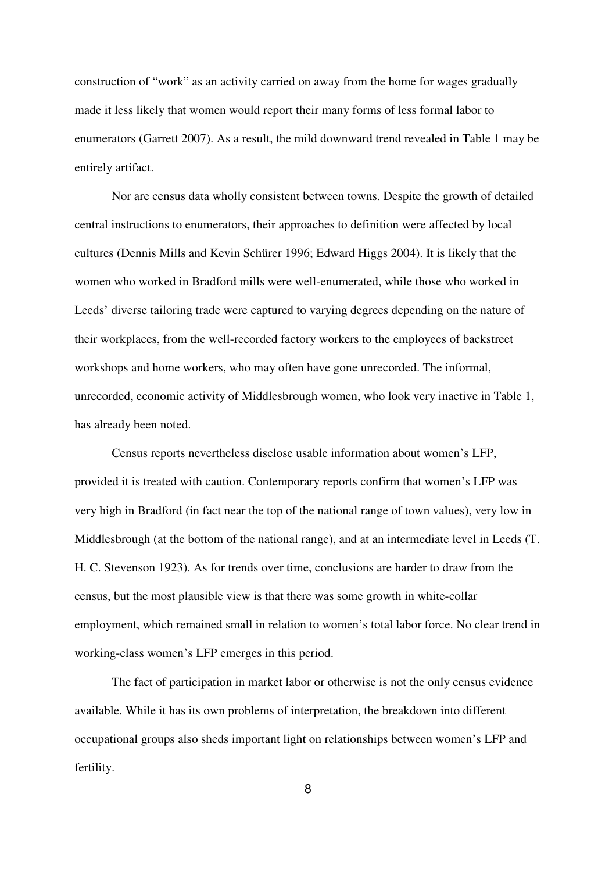construction of "work" as an activity carried on away from the home for wages gradually made it less likely that women would report their many forms of less formal labor to enumerators (Garrett 2007). As a result, the mild downward trend revealed in Table 1 may be entirely artifact.

Nor are census data wholly consistent between towns. Despite the growth of detailed central instructions to enumerators, their approaches to definition were affected by local cultures (Dennis Mills and Kevin Schürer 1996; Edward Higgs 2004). It is likely that the women who worked in Bradford mills were well-enumerated, while those who worked in Leeds' diverse tailoring trade were captured to varying degrees depending on the nature of their workplaces, from the well-recorded factory workers to the employees of backstreet workshops and home workers, who may often have gone unrecorded. The informal, unrecorded, economic activity of Middlesbrough women, who look very inactive in Table 1, has already been noted.

Census reports nevertheless disclose usable information about women's LFP, provided it is treated with caution. Contemporary reports confirm that women's LFP was very high in Bradford (in fact near the top of the national range of town values), very low in Middlesbrough (at the bottom of the national range), and at an intermediate level in Leeds (T. H. C. Stevenson 1923). As for trends over time, conclusions are harder to draw from the census, but the most plausible view is that there was some growth in white-collar employment, which remained small in relation to women's total labor force. No clear trend in working-class women's LFP emerges in this period.

The fact of participation in market labor or otherwise is not the only census evidence available. While it has its own problems of interpretation, the breakdown into different occupational groups also sheds important light on relationships between women's LFP and fertility.

8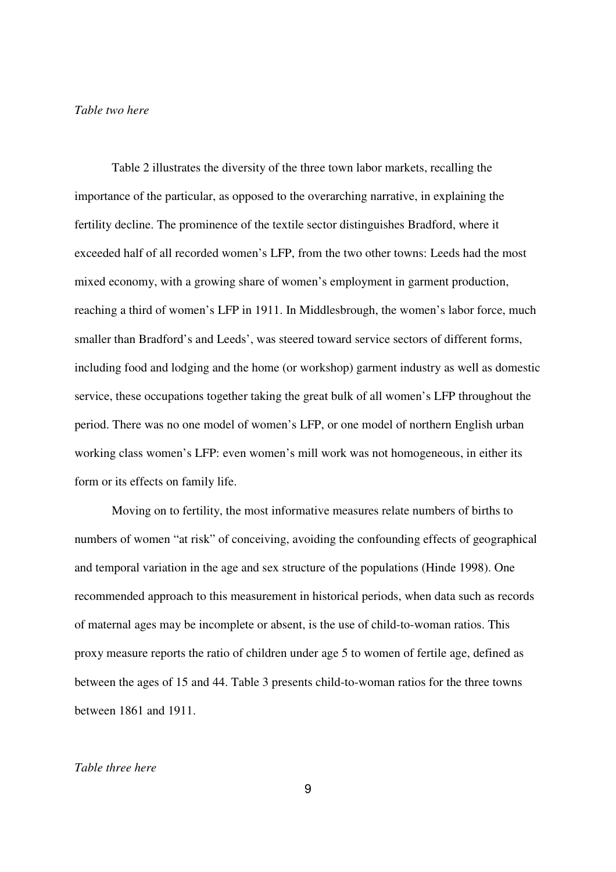#### *Table two here*

Table 2 illustrates the diversity of the three town labor markets, recalling the importance of the particular, as opposed to the overarching narrative, in explaining the fertility decline. The prominence of the textile sector distinguishes Bradford, where it exceeded half of all recorded women's LFP, from the two other towns: Leeds had the most mixed economy, with a growing share of women's employment in garment production, reaching a third of women's LFP in 1911. In Middlesbrough, the women's labor force, much smaller than Bradford's and Leeds', was steered toward service sectors of different forms, including food and lodging and the home (or workshop) garment industry as well as domestic service, these occupations together taking the great bulk of all women's LFP throughout the period. There was no one model of women's LFP, or one model of northern English urban working class women's LFP: even women's mill work was not homogeneous, in either its form or its effects on family life.

Moving on to fertility, the most informative measures relate numbers of births to numbers of women "at risk" of conceiving, avoiding the confounding effects of geographical and temporal variation in the age and sex structure of the populations (Hinde 1998). One recommended approach to this measurement in historical periods, when data such as records of maternal ages may be incomplete or absent, is the use of child-to-woman ratios. This proxy measure reports the ratio of children under age 5 to women of fertile age, defined as between the ages of 15 and 44. Table 3 presents child-to-woman ratios for the three towns between 1861 and 1911.

#### *Table three here*

9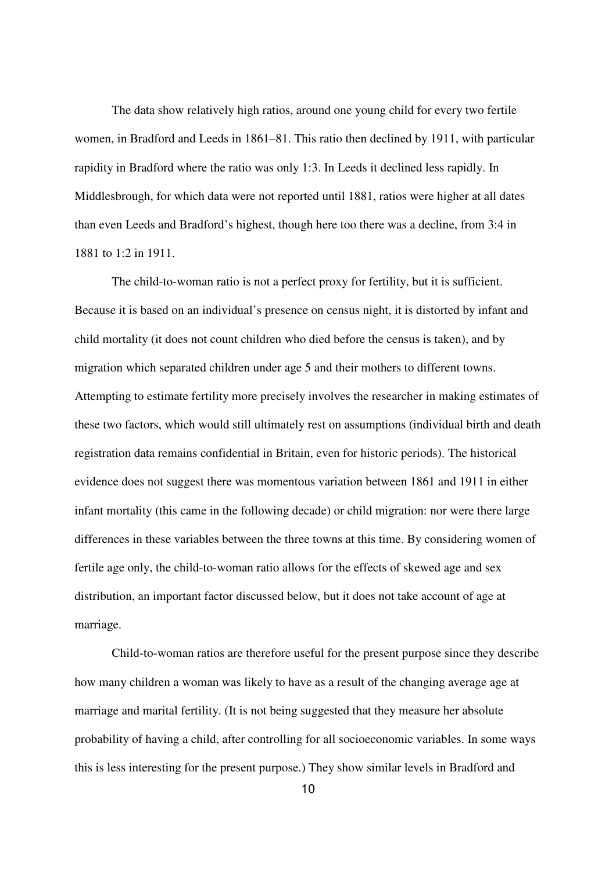The data show relatively high ratios, around one young child for every two fertile women, in Bradford and Leeds in 1861–81. This ratio then declined by 1911, with particular rapidity in Bradford where the ratio was only 1:3. In Leeds it declined less rapidly. In Middlesbrough, for which data were not reported until 1881, ratios were higher at all dates than even Leeds and Bradford's highest, though here too there was a decline, from 3:4 in 1881 to 1:2 in 1911.

The child-to-woman ratio is not a perfect proxy for fertility, but it is sufficient. Because it is based on an individual's presence on census night, it is distorted by infant and child mortality (it does not count children who died before the census is taken), and by migration which separated children under age 5 and their mothers to different towns. Attempting to estimate fertility more precisely involves the researcher in making estimates of these two factors, which would still ultimately rest on assumptions (individual birth and death registration data remains confidential in Britain, even for historic periods). The historical evidence does not suggest there was momentous variation between 1861 and 1911 in either infant mortality (this came in the following decade) or child migration: nor were there large differences in these variables between the three towns at this time. By considering women of fertile age only, the child-to-woman ratio allows for the effects of skewed age and sex distribution, an important factor discussed below, but it does not take account of age at marriage.

Child-to-woman ratios are therefore useful for the present purpose since they describe how many children a woman was likely to have as a result of the changing average age at marriage and marital fertility. (It is not being suggested that they measure her absolute probability of having a child, after controlling for all socioeconomic variables. In some ways this is less interesting for the present purpose.) They show similar levels in Bradford and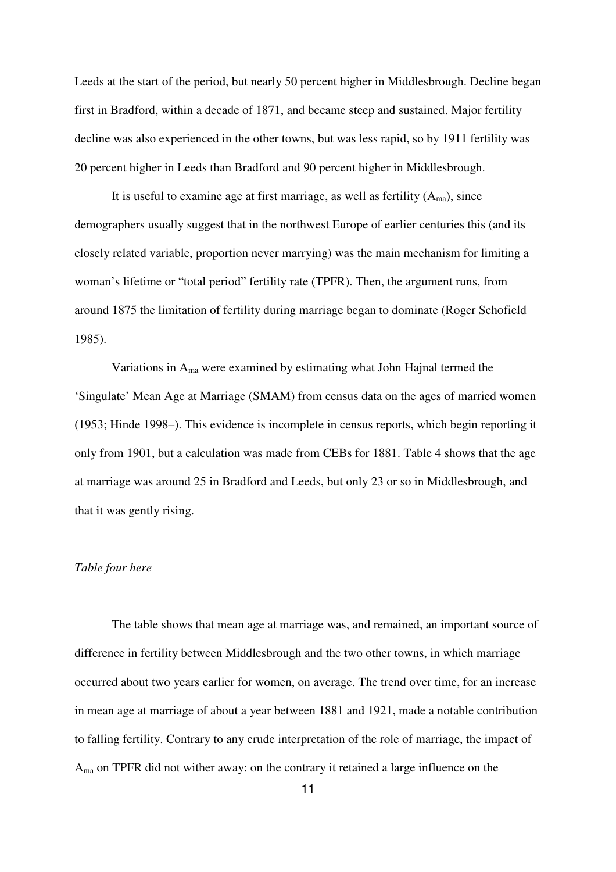Leeds at the start of the period, but nearly 50 percent higher in Middlesbrough. Decline began first in Bradford, within a decade of 1871, and became steep and sustained. Major fertility decline was also experienced in the other towns, but was less rapid, so by 1911 fertility was 20 percent higher in Leeds than Bradford and 90 percent higher in Middlesbrough.

It is useful to examine age at first marriage, as well as fertility  $(A_{ma})$ , since demographers usually suggest that in the northwest Europe of earlier centuries this (and its closely related variable, proportion never marrying) was the main mechanism for limiting a woman's lifetime or "total period" fertility rate (TPFR). Then, the argument runs, from around 1875 the limitation of fertility during marriage began to dominate (Roger Schofield 1985).

Variations in Ama were examined by estimating what John Hajnal termed the 'Singulate' Mean Age at Marriage (SMAM) from census data on the ages of married women (1953; Hinde 1998–). This evidence is incomplete in census reports, which begin reporting it only from 1901, but a calculation was made from CEBs for 1881. Table 4 shows that the age at marriage was around 25 in Bradford and Leeds, but only 23 or so in Middlesbrough, and that it was gently rising.

#### *Table four here*

The table shows that mean age at marriage was, and remained, an important source of difference in fertility between Middlesbrough and the two other towns, in which marriage occurred about two years earlier for women, on average. The trend over time, for an increase in mean age at marriage of about a year between 1881 and 1921, made a notable contribution to falling fertility. Contrary to any crude interpretation of the role of marriage, the impact of Ama on TPFR did not wither away: on the contrary it retained a large influence on the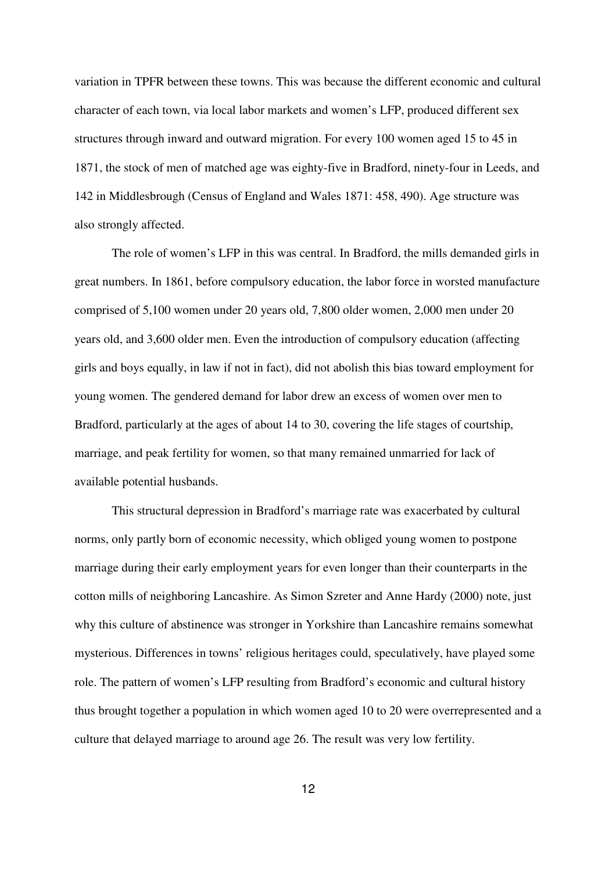variation in TPFR between these towns. This was because the different economic and cultural character of each town, via local labor markets and women's LFP, produced different sex structures through inward and outward migration. For every 100 women aged 15 to 45 in 1871, the stock of men of matched age was eighty-five in Bradford, ninety-four in Leeds, and 142 in Middlesbrough (Census of England and Wales 1871: 458, 490). Age structure was also strongly affected.

The role of women's LFP in this was central. In Bradford, the mills demanded girls in great numbers. In 1861, before compulsory education, the labor force in worsted manufacture comprised of 5,100 women under 20 years old, 7,800 older women, 2,000 men under 20 years old, and 3,600 older men. Even the introduction of compulsory education (affecting girls and boys equally, in law if not in fact), did not abolish this bias toward employment for young women. The gendered demand for labor drew an excess of women over men to Bradford, particularly at the ages of about 14 to 30, covering the life stages of courtship, marriage, and peak fertility for women, so that many remained unmarried for lack of available potential husbands.

This structural depression in Bradford's marriage rate was exacerbated by cultural norms, only partly born of economic necessity, which obliged young women to postpone marriage during their early employment years for even longer than their counterparts in the cotton mills of neighboring Lancashire. As Simon Szreter and Anne Hardy (2000) note, just why this culture of abstinence was stronger in Yorkshire than Lancashire remains somewhat mysterious. Differences in towns' religious heritages could, speculatively, have played some role. The pattern of women's LFP resulting from Bradford's economic and cultural history thus brought together a population in which women aged 10 to 20 were overrepresented and a culture that delayed marriage to around age 26. The result was very low fertility.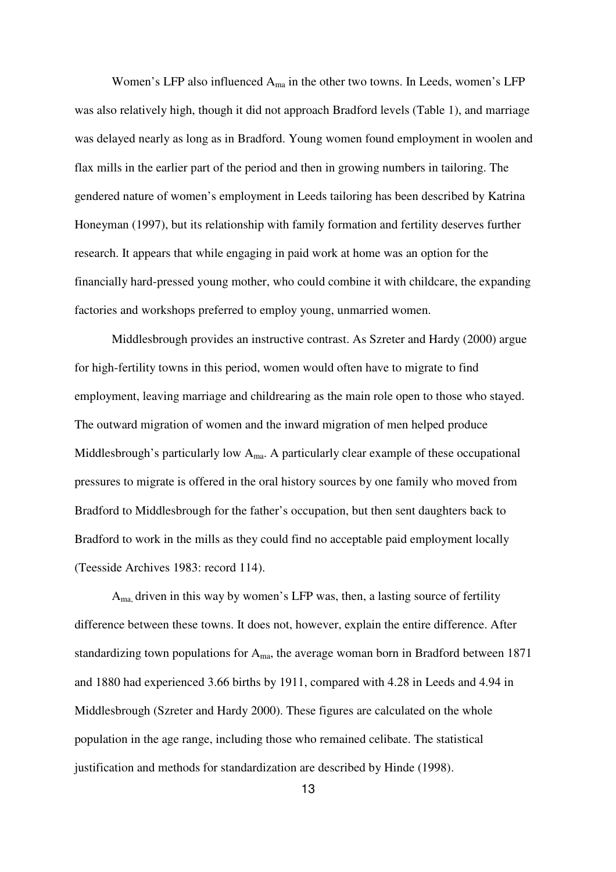Women's LFP also influenced Ama in the other two towns. In Leeds, women's LFP was also relatively high, though it did not approach Bradford levels (Table 1), and marriage was delayed nearly as long as in Bradford. Young women found employment in woolen and flax mills in the earlier part of the period and then in growing numbers in tailoring. The gendered nature of women's employment in Leeds tailoring has been described by Katrina Honeyman (1997), but its relationship with family formation and fertility deserves further research. It appears that while engaging in paid work at home was an option for the financially hard-pressed young mother, who could combine it with childcare, the expanding factories and workshops preferred to employ young, unmarried women.

Middlesbrough provides an instructive contrast. As Szreter and Hardy (2000) argue for high-fertility towns in this period, women would often have to migrate to find employment, leaving marriage and childrearing as the main role open to those who stayed. The outward migration of women and the inward migration of men helped produce Middlesbrough's particularly low  $A_{ma}$ . A particularly clear example of these occupational pressures to migrate is offered in the oral history sources by one family who moved from Bradford to Middlesbrough for the father's occupation, but then sent daughters back to Bradford to work in the mills as they could find no acceptable paid employment locally (Teesside Archives 1983: record 114).

Ama, driven in this way by women's LFP was, then, a lasting source of fertility difference between these towns. It does not, however, explain the entire difference. After standardizing town populations for  $A_{ma}$ , the average woman born in Bradford between 1871 and 1880 had experienced 3.66 births by 1911, compared with 4.28 in Leeds and 4.94 in Middlesbrough (Szreter and Hardy 2000). These figures are calculated on the whole population in the age range, including those who remained celibate. The statistical justification and methods for standardization are described by Hinde (1998).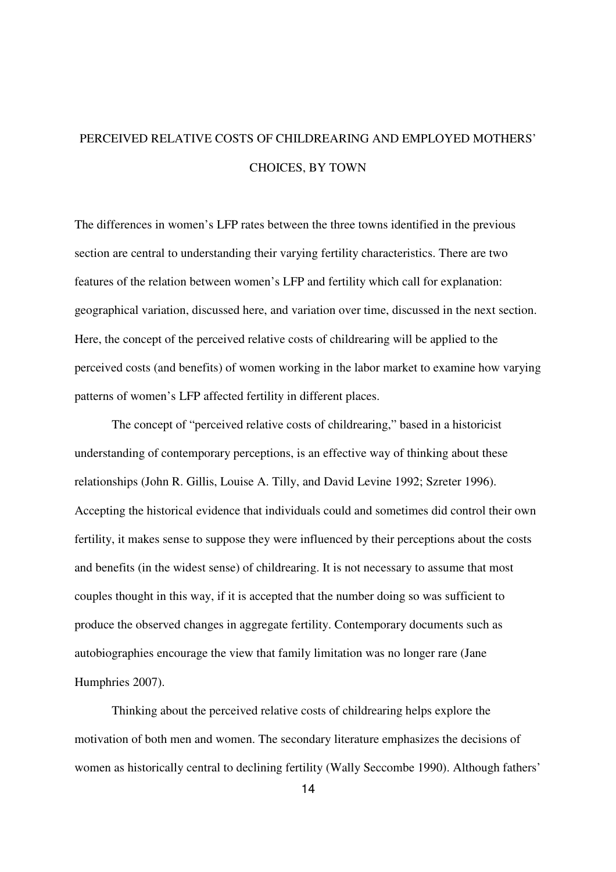# PERCEIVED RELATIVE COSTS OF CHILDREARING AND EMPLOYED MOTHERS' CHOICES, BY TOWN

The differences in women's LFP rates between the three towns identified in the previous section are central to understanding their varying fertility characteristics. There are two features of the relation between women's LFP and fertility which call for explanation: geographical variation, discussed here, and variation over time, discussed in the next section. Here, the concept of the perceived relative costs of childrearing will be applied to the perceived costs (and benefits) of women working in the labor market to examine how varying patterns of women's LFP affected fertility in different places.

The concept of "perceived relative costs of childrearing," based in a historicist understanding of contemporary perceptions, is an effective way of thinking about these relationships (John R. Gillis, Louise A. Tilly, and David Levine 1992; Szreter 1996). Accepting the historical evidence that individuals could and sometimes did control their own fertility, it makes sense to suppose they were influenced by their perceptions about the costs and benefits (in the widest sense) of childrearing. It is not necessary to assume that most couples thought in this way, if it is accepted that the number doing so was sufficient to produce the observed changes in aggregate fertility. Contemporary documents such as autobiographies encourage the view that family limitation was no longer rare (Jane Humphries 2007).

Thinking about the perceived relative costs of childrearing helps explore the motivation of both men and women. The secondary literature emphasizes the decisions of women as historically central to declining fertility (Wally Seccombe 1990). Although fathers'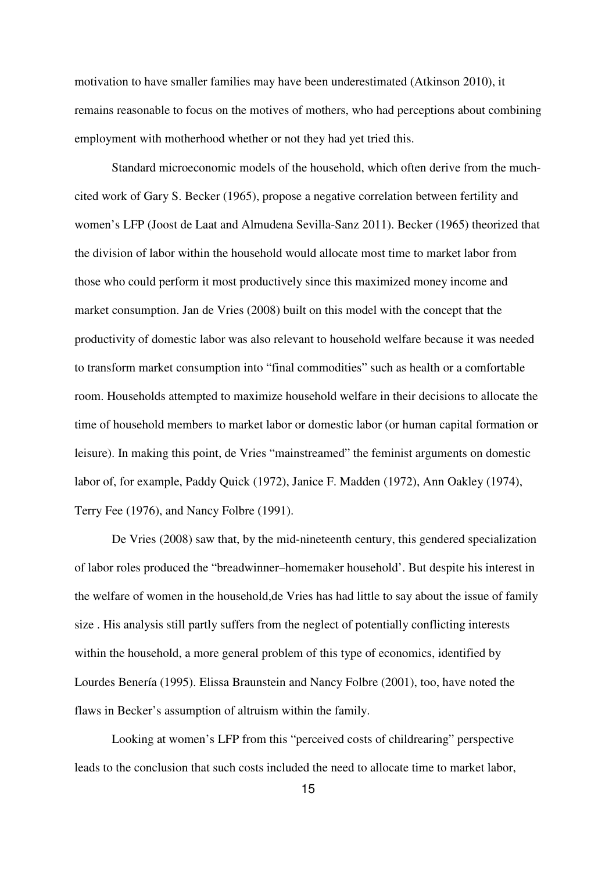motivation to have smaller families may have been underestimated (Atkinson 2010), it remains reasonable to focus on the motives of mothers, who had perceptions about combining employment with motherhood whether or not they had yet tried this.

Standard microeconomic models of the household, which often derive from the muchcited work of Gary S. Becker (1965), propose a negative correlation between fertility and women's LFP (Joost de Laat and Almudena Sevilla-Sanz 2011). Becker (1965) theorized that the division of labor within the household would allocate most time to market labor from those who could perform it most productively since this maximized money income and market consumption. Jan de Vries (2008) built on this model with the concept that the productivity of domestic labor was also relevant to household welfare because it was needed to transform market consumption into "final commodities" such as health or a comfortable room. Households attempted to maximize household welfare in their decisions to allocate the time of household members to market labor or domestic labor (or human capital formation or leisure). In making this point, de Vries "mainstreamed" the feminist arguments on domestic labor of, for example, Paddy Quick (1972), Janice F. Madden (1972), Ann Oakley (1974), Terry Fee (1976), and Nancy Folbre (1991).

De Vries (2008) saw that, by the mid-nineteenth century, this gendered specialization of labor roles produced the "breadwinner–homemaker household'. But despite his interest in the welfare of women in the household,de Vries has had little to say about the issue of family size . His analysis still partly suffers from the neglect of potentially conflicting interests within the household, a more general problem of this type of economics, identified by Lourdes Benería (1995). Elissa Braunstein and Nancy Folbre (2001), too, have noted the flaws in Becker's assumption of altruism within the family.

Looking at women's LFP from this "perceived costs of childrearing" perspective leads to the conclusion that such costs included the need to allocate time to market labor,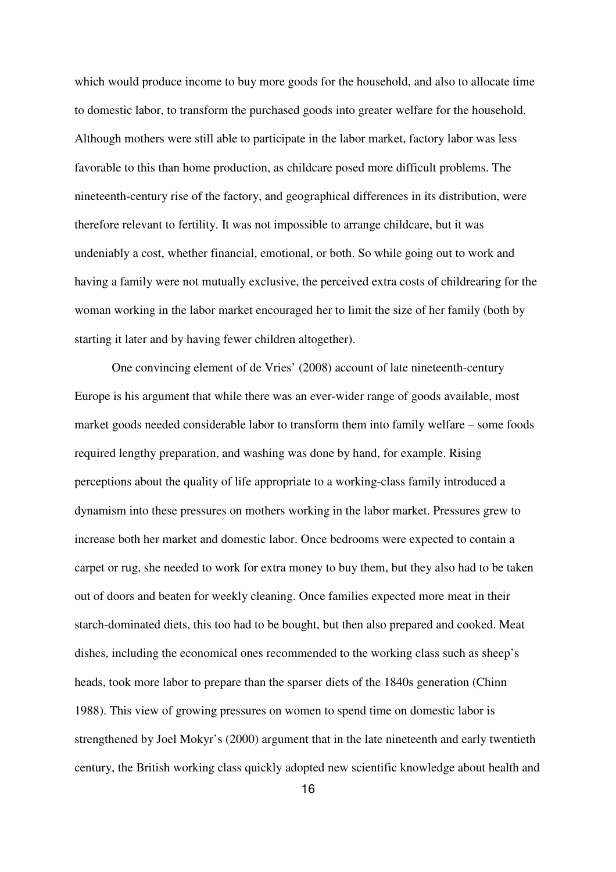which would produce income to buy more goods for the household, and also to allocate time to domestic labor, to transform the purchased goods into greater welfare for the household. Although mothers were still able to participate in the labor market, factory labor was less favorable to this than home production, as childcare posed more difficult problems. The nineteenth-century rise of the factory, and geographical differences in its distribution, were therefore relevant to fertility. It was not impossible to arrange childcare, but it was undeniably a cost, whether financial, emotional, or both. So while going out to work and having a family were not mutually exclusive, the perceived extra costs of childrearing for the woman working in the labor market encouraged her to limit the size of her family (both by starting it later and by having fewer children altogether).

One convincing element of de Vries' (2008) account of late nineteenth-century Europe is his argument that while there was an ever-wider range of goods available, most market goods needed considerable labor to transform them into family welfare – some foods required lengthy preparation, and washing was done by hand, for example. Rising perceptions about the quality of life appropriate to a working-class family introduced a dynamism into these pressures on mothers working in the labor market. Pressures grew to increase both her market and domestic labor. Once bedrooms were expected to contain a carpet or rug, she needed to work for extra money to buy them, but they also had to be taken out of doors and beaten for weekly cleaning. Once families expected more meat in their starch-dominated diets, this too had to be bought, but then also prepared and cooked. Meat dishes, including the economical ones recommended to the working class such as sheep's heads, took more labor to prepare than the sparser diets of the 1840s generation (Chinn 1988). This view of growing pressures on women to spend time on domestic labor is strengthened by Joel Mokyr's (2000) argument that in the late nineteenth and early twentieth century, the British working class quickly adopted new scientific knowledge about health and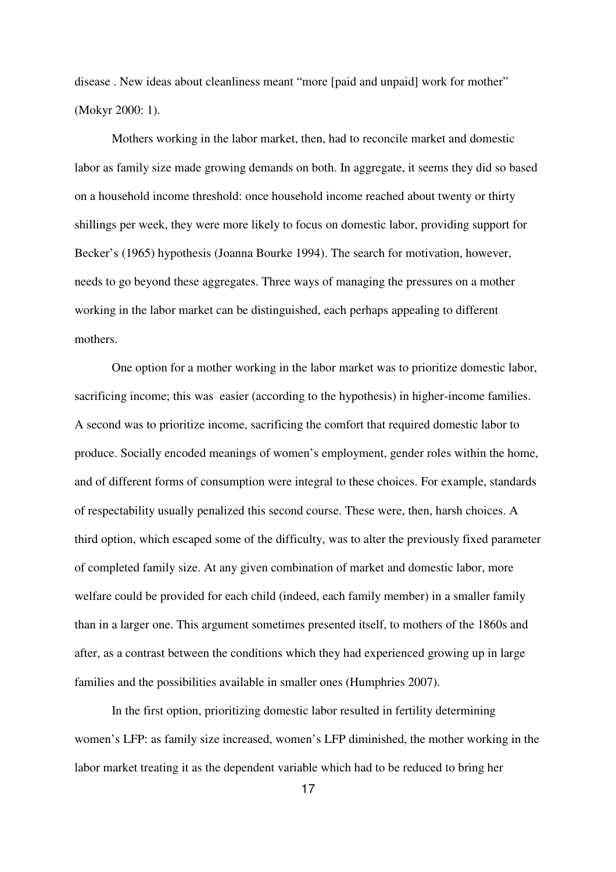disease . New ideas about cleanliness meant "more [paid and unpaid] work for mother" (Mokyr 2000: 1).

Mothers working in the labor market, then, had to reconcile market and domestic labor as family size made growing demands on both. In aggregate, it seems they did so based on a household income threshold: once household income reached about twenty or thirty shillings per week, they were more likely to focus on domestic labor, providing support for Becker's (1965) hypothesis (Joanna Bourke 1994). The search for motivation, however, needs to go beyond these aggregates. Three ways of managing the pressures on a mother working in the labor market can be distinguished, each perhaps appealing to different mothers.

One option for a mother working in the labor market was to prioritize domestic labor, sacrificing income; this was easier (according to the hypothesis) in higher-income families. A second was to prioritize income, sacrificing the comfort that required domestic labor to produce. Socially encoded meanings of women's employment, gender roles within the home, and of different forms of consumption were integral to these choices. For example, standards of respectability usually penalized this second course. These were, then, harsh choices. A third option, which escaped some of the difficulty, was to alter the previously fixed parameter of completed family size. At any given combination of market and domestic labor, more welfare could be provided for each child (indeed, each family member) in a smaller family than in a larger one. This argument sometimes presented itself, to mothers of the 1860s and after, as a contrast between the conditions which they had experienced growing up in large families and the possibilities available in smaller ones (Humphries 2007).

In the first option, prioritizing domestic labor resulted in fertility determining women's LFP: as family size increased, women's LFP diminished, the mother working in the labor market treating it as the dependent variable which had to be reduced to bring her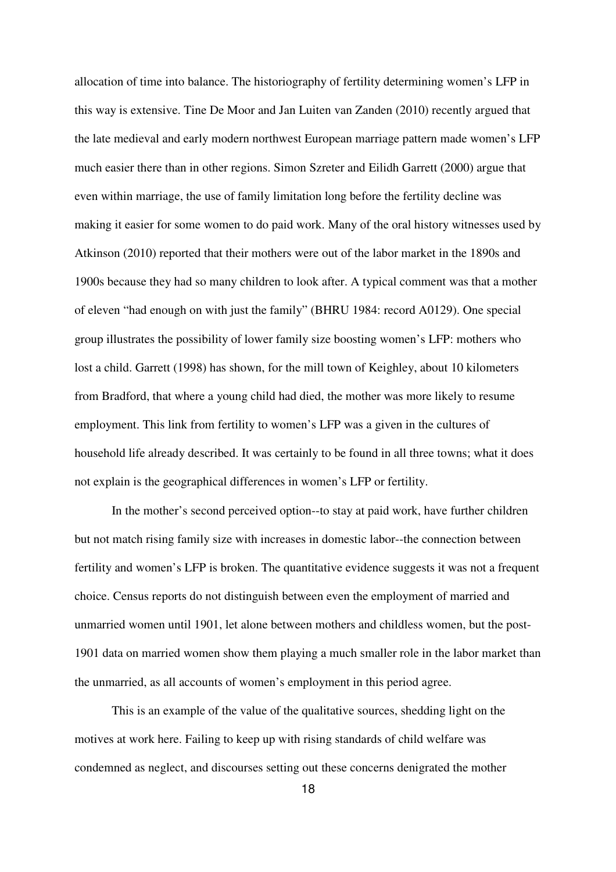allocation of time into balance. The historiography of fertility determining women's LFP in this way is extensive. Tine De Moor and Jan Luiten van Zanden (2010) recently argued that the late medieval and early modern northwest European marriage pattern made women's LFP much easier there than in other regions. Simon Szreter and Eilidh Garrett (2000) argue that even within marriage, the use of family limitation long before the fertility decline was making it easier for some women to do paid work. Many of the oral history witnesses used by Atkinson (2010) reported that their mothers were out of the labor market in the 1890s and 1900s because they had so many children to look after. A typical comment was that a mother of eleven "had enough on with just the family" (BHRU 1984: record A0129). One special group illustrates the possibility of lower family size boosting women's LFP: mothers who lost a child. Garrett (1998) has shown, for the mill town of Keighley, about 10 kilometers from Bradford, that where a young child had died, the mother was more likely to resume employment. This link from fertility to women's LFP was a given in the cultures of household life already described. It was certainly to be found in all three towns; what it does not explain is the geographical differences in women's LFP or fertility.

In the mother's second perceived option--to stay at paid work, have further children but not match rising family size with increases in domestic labor--the connection between fertility and women's LFP is broken. The quantitative evidence suggests it was not a frequent choice. Census reports do not distinguish between even the employment of married and unmarried women until 1901, let alone between mothers and childless women, but the post-1901 data on married women show them playing a much smaller role in the labor market than the unmarried, as all accounts of women's employment in this period agree.

This is an example of the value of the qualitative sources, shedding light on the motives at work here. Failing to keep up with rising standards of child welfare was condemned as neglect, and discourses setting out these concerns denigrated the mother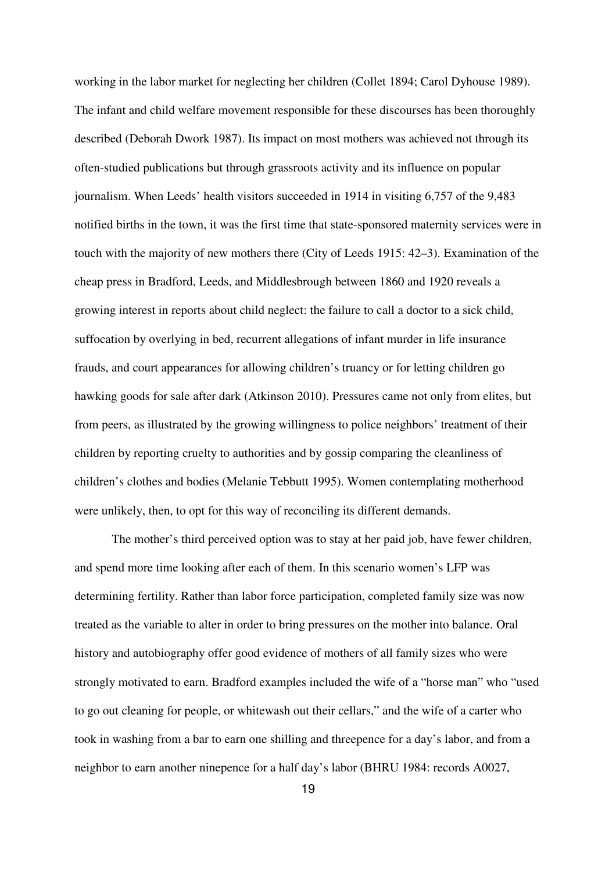working in the labor market for neglecting her children (Collet 1894; Carol Dyhouse 1989). The infant and child welfare movement responsible for these discourses has been thoroughly described (Deborah Dwork 1987). Its impact on most mothers was achieved not through its often-studied publications but through grassroots activity and its influence on popular journalism. When Leeds' health visitors succeeded in 1914 in visiting 6,757 of the 9,483 notified births in the town, it was the first time that state-sponsored maternity services were in touch with the majority of new mothers there (City of Leeds 1915: 42–3). Examination of the cheap press in Bradford, Leeds, and Middlesbrough between 1860 and 1920 reveals a growing interest in reports about child neglect: the failure to call a doctor to a sick child, suffocation by overlying in bed, recurrent allegations of infant murder in life insurance frauds, and court appearances for allowing children's truancy or for letting children go hawking goods for sale after dark (Atkinson 2010). Pressures came not only from elites, but from peers, as illustrated by the growing willingness to police neighbors' treatment of their children by reporting cruelty to authorities and by gossip comparing the cleanliness of children's clothes and bodies (Melanie Tebbutt 1995). Women contemplating motherhood were unlikely, then, to opt for this way of reconciling its different demands.

The mother's third perceived option was to stay at her paid job, have fewer children, and spend more time looking after each of them. In this scenario women's LFP was determining fertility. Rather than labor force participation, completed family size was now treated as the variable to alter in order to bring pressures on the mother into balance. Oral history and autobiography offer good evidence of mothers of all family sizes who were strongly motivated to earn. Bradford examples included the wife of a "horse man" who "used to go out cleaning for people, or whitewash out their cellars," and the wife of a carter who took in washing from a bar to earn one shilling and threepence for a day's labor, and from a neighbor to earn another ninepence for a half day's labor (BHRU 1984: records A0027,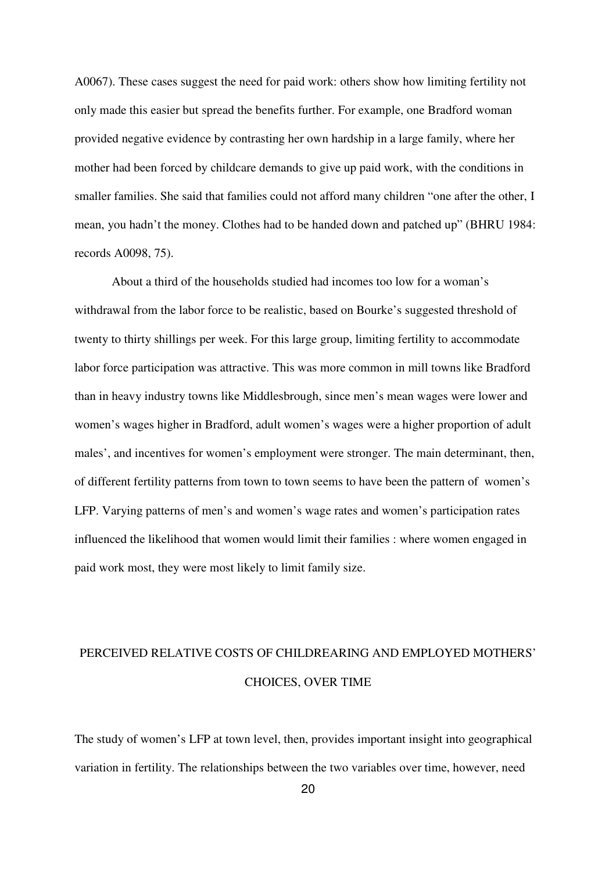A0067). These cases suggest the need for paid work: others show how limiting fertility not only made this easier but spread the benefits further. For example, one Bradford woman provided negative evidence by contrasting her own hardship in a large family, where her mother had been forced by childcare demands to give up paid work, with the conditions in smaller families. She said that families could not afford many children "one after the other, I mean, you hadn't the money. Clothes had to be handed down and patched up" (BHRU 1984: records A0098, 75).

About a third of the households studied had incomes too low for a woman's withdrawal from the labor force to be realistic, based on Bourke's suggested threshold of twenty to thirty shillings per week. For this large group, limiting fertility to accommodate labor force participation was attractive. This was more common in mill towns like Bradford than in heavy industry towns like Middlesbrough, since men's mean wages were lower and women's wages higher in Bradford, adult women's wages were a higher proportion of adult males', and incentives for women's employment were stronger. The main determinant, then, of different fertility patterns from town to town seems to have been the pattern of women's LFP. Varying patterns of men's and women's wage rates and women's participation rates influenced the likelihood that women would limit their families : where women engaged in paid work most, they were most likely to limit family size.

# PERCEIVED RELATIVE COSTS OF CHILDREARING AND EMPLOYED MOTHERS' CHOICES, OVER TIME

The study of women's LFP at town level, then, provides important insight into geographical variation in fertility. The relationships between the two variables over time, however, need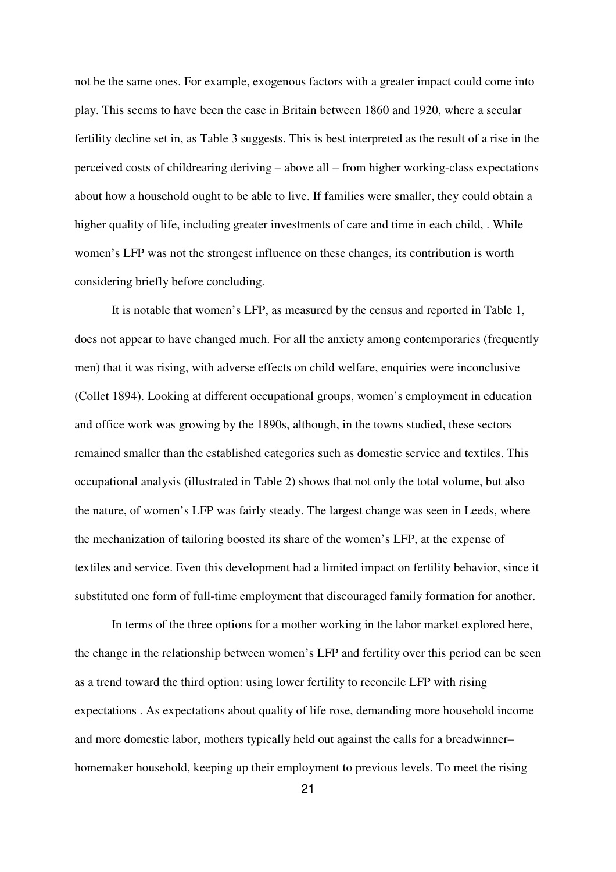not be the same ones. For example, exogenous factors with a greater impact could come into play. This seems to have been the case in Britain between 1860 and 1920, where a secular fertility decline set in, as Table 3 suggests. This is best interpreted as the result of a rise in the perceived costs of childrearing deriving – above all – from higher working-class expectations about how a household ought to be able to live. If families were smaller, they could obtain a higher quality of life, including greater investments of care and time in each child, . While women's LFP was not the strongest influence on these changes, its contribution is worth considering briefly before concluding.

It is notable that women's LFP, as measured by the census and reported in Table 1, does not appear to have changed much. For all the anxiety among contemporaries (frequently men) that it was rising, with adverse effects on child welfare, enquiries were inconclusive (Collet 1894). Looking at different occupational groups, women's employment in education and office work was growing by the 1890s, although, in the towns studied, these sectors remained smaller than the established categories such as domestic service and textiles. This occupational analysis (illustrated in Table 2) shows that not only the total volume, but also the nature, of women's LFP was fairly steady. The largest change was seen in Leeds, where the mechanization of tailoring boosted its share of the women's LFP, at the expense of textiles and service. Even this development had a limited impact on fertility behavior, since it substituted one form of full-time employment that discouraged family formation for another.

In terms of the three options for a mother working in the labor market explored here, the change in the relationship between women's LFP and fertility over this period can be seen as a trend toward the third option: using lower fertility to reconcile LFP with rising expectations . As expectations about quality of life rose, demanding more household income and more domestic labor, mothers typically held out against the calls for a breadwinner– homemaker household, keeping up their employment to previous levels. To meet the rising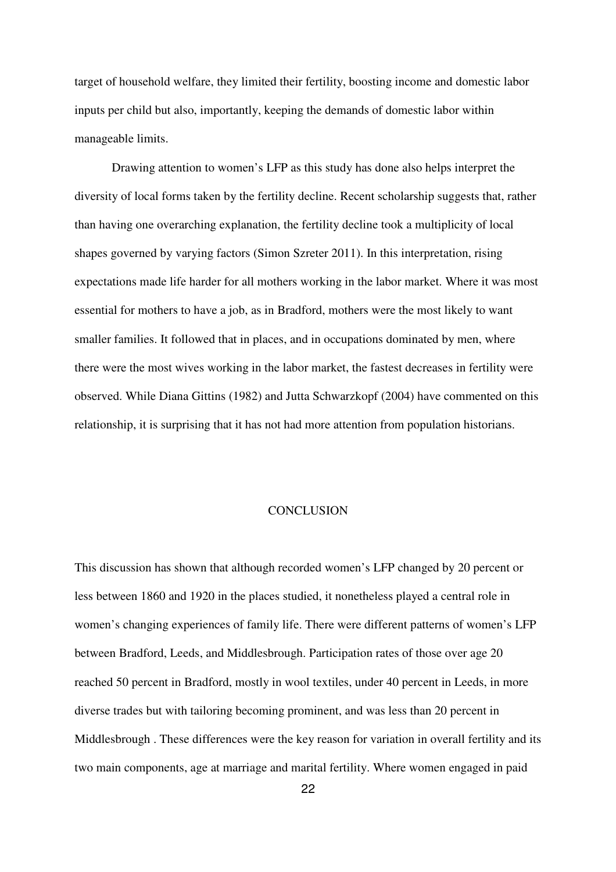target of household welfare, they limited their fertility, boosting income and domestic labor inputs per child but also, importantly, keeping the demands of domestic labor within manageable limits.

Drawing attention to women's LFP as this study has done also helps interpret the diversity of local forms taken by the fertility decline. Recent scholarship suggests that, rather than having one overarching explanation, the fertility decline took a multiplicity of local shapes governed by varying factors (Simon Szreter 2011). In this interpretation, rising expectations made life harder for all mothers working in the labor market. Where it was most essential for mothers to have a job, as in Bradford, mothers were the most likely to want smaller families. It followed that in places, and in occupations dominated by men, where there were the most wives working in the labor market, the fastest decreases in fertility were observed. While Diana Gittins (1982) and Jutta Schwarzkopf (2004) have commented on this relationship, it is surprising that it has not had more attention from population historians.

#### **CONCLUSION**

This discussion has shown that although recorded women's LFP changed by 20 percent or less between 1860 and 1920 in the places studied, it nonetheless played a central role in women's changing experiences of family life. There were different patterns of women's LFP between Bradford, Leeds, and Middlesbrough. Participation rates of those over age 20 reached 50 percent in Bradford, mostly in wool textiles, under 40 percent in Leeds, in more diverse trades but with tailoring becoming prominent, and was less than 20 percent in Middlesbrough . These differences were the key reason for variation in overall fertility and its two main components, age at marriage and marital fertility. Where women engaged in paid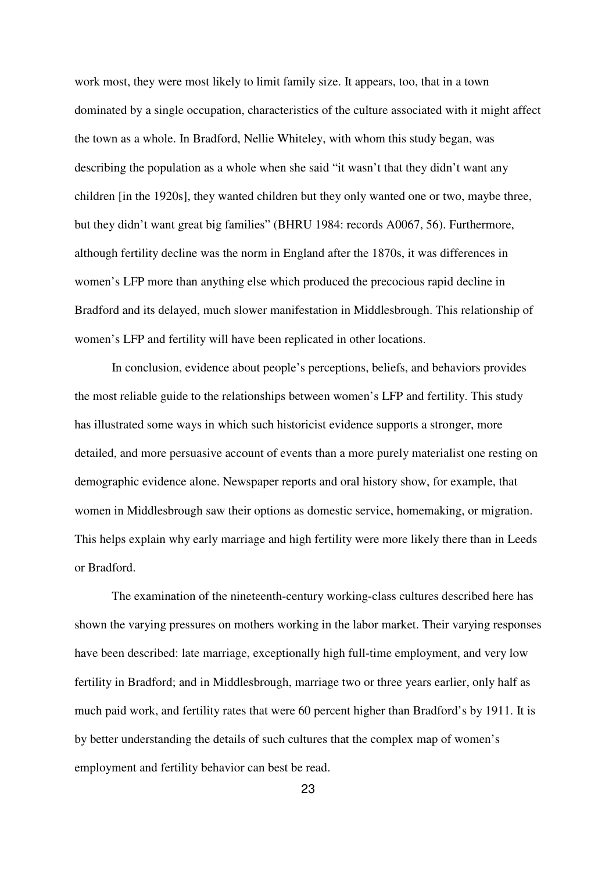work most, they were most likely to limit family size. It appears, too, that in a town dominated by a single occupation, characteristics of the culture associated with it might affect the town as a whole. In Bradford, Nellie Whiteley, with whom this study began, was describing the population as a whole when she said "it wasn't that they didn't want any children [in the 1920s], they wanted children but they only wanted one or two, maybe three, but they didn't want great big families" (BHRU 1984: records A0067, 56). Furthermore, although fertility decline was the norm in England after the 1870s, it was differences in women's LFP more than anything else which produced the precocious rapid decline in Bradford and its delayed, much slower manifestation in Middlesbrough. This relationship of women's LFP and fertility will have been replicated in other locations.

In conclusion, evidence about people's perceptions, beliefs, and behaviors provides the most reliable guide to the relationships between women's LFP and fertility. This study has illustrated some ways in which such historicist evidence supports a stronger, more detailed, and more persuasive account of events than a more purely materialist one resting on demographic evidence alone. Newspaper reports and oral history show, for example, that women in Middlesbrough saw their options as domestic service, homemaking, or migration. This helps explain why early marriage and high fertility were more likely there than in Leeds or Bradford.

The examination of the nineteenth-century working-class cultures described here has shown the varying pressures on mothers working in the labor market. Their varying responses have been described: late marriage, exceptionally high full-time employment, and very low fertility in Bradford; and in Middlesbrough, marriage two or three years earlier, only half as much paid work, and fertility rates that were 60 percent higher than Bradford's by 1911. It is by better understanding the details of such cultures that the complex map of women's employment and fertility behavior can best be read.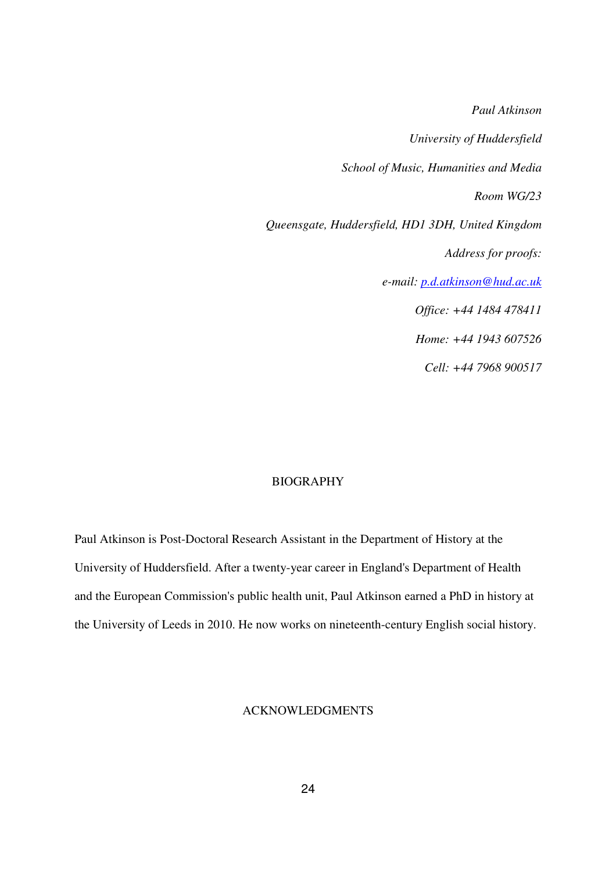*Paul Atkinson University of Huddersfield School of Music, Humanities and Media Room WG/23 Queensgate, Huddersfield, HD1 3DH, United Kingdom Address for proofs: e-mail: p.d.atkinson@hud.ac.uk Office: +44 1484 478411 Home: +44 1943 607526 Cell: +44 7968 900517* 

#### BIOGRAPHY

Paul Atkinson is Post-Doctoral Research Assistant in the Department of History at the University of Huddersfield. After a twenty-year career in England's Department of Health and the European Commission's public health unit, Paul Atkinson earned a PhD in history at the University of Leeds in 2010. He now works on nineteenth-century English social history.

#### ACKNOWLEDGMENTS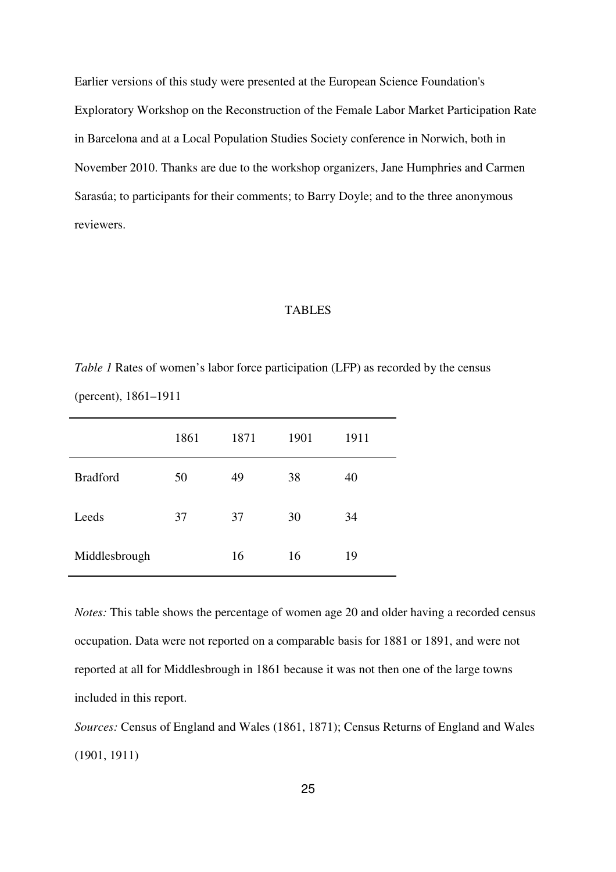Earlier versions of this study were presented at the European Science Foundation's Exploratory Workshop on the Reconstruction of the Female Labor Market Participation Rate in Barcelona and at a Local Population Studies Society conference in Norwich, both in November 2010. Thanks are due to the workshop organizers, Jane Humphries and Carmen Sarasúa; to participants for their comments; to Barry Doyle; and to the three anonymous reviewers.

#### TABLES

*Table 1* Rates of women's labor force participation (LFP) as recorded by the census (percent), 1861–1911

|                 | 1861 | 1871 | 1901 | 1911 |
|-----------------|------|------|------|------|
| <b>Bradford</b> | 50   | 49   | 38   | 40   |
| Leeds           | 37   | 37   | 30   | 34   |
| Middlesbrough   |      | 16   | 16   | 19   |

*Notes:* This table shows the percentage of women age 20 and older having a recorded census occupation. Data were not reported on a comparable basis for 1881 or 1891, and were not reported at all for Middlesbrough in 1861 because it was not then one of the large towns included in this report.

*Sources:* Census of England and Wales (1861, 1871); Census Returns of England and Wales (1901, 1911)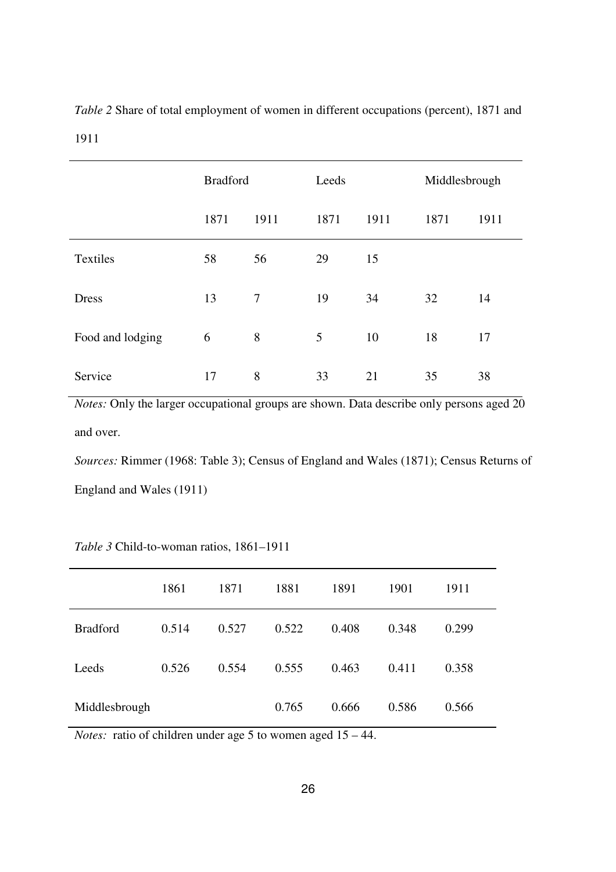|                  | <b>Bradford</b> |                | Leeds |      | Middlesbrough |      |
|------------------|-----------------|----------------|-------|------|---------------|------|
|                  | 1871            | 1911           | 1871  | 1911 | 1871          | 1911 |
| Textiles         | 58              | 56             | 29    | 15   |               |      |
| <b>Dress</b>     | 13              | $\overline{7}$ | 19    | 34   | 32            | 14   |
| Food and lodging | 6               | 8              | 5     | 10   | 18            | 17   |
| Service          | 17              | 8              | 33    | 21   | 35            | 38   |

*Table 2* Share of total employment of women in different occupations (percent), 1871 and 1911

*Notes:* Only the larger occupational groups are shown. Data describe only persons aged 20 and over.

*Sources:* Rimmer (1968: Table 3); Census of England and Wales (1871); Census Returns of England and Wales (1911)

|                 | 1861  | 1871  | 1881  | 1891  | 1901  | 1911  |
|-----------------|-------|-------|-------|-------|-------|-------|
| <b>Bradford</b> | 0.514 | 0.527 | 0.522 | 0.408 | 0.348 | 0.299 |
| Leeds           | 0.526 | 0.554 | 0.555 | 0.463 | 0.411 | 0.358 |
| Middlesbrough   |       |       | 0.765 | 0.666 | 0.586 | 0.566 |

*Table 3* Child-to-woman ratios, 1861–1911

*Notes:* ratio of children under age 5 to women aged  $15 - 44$ .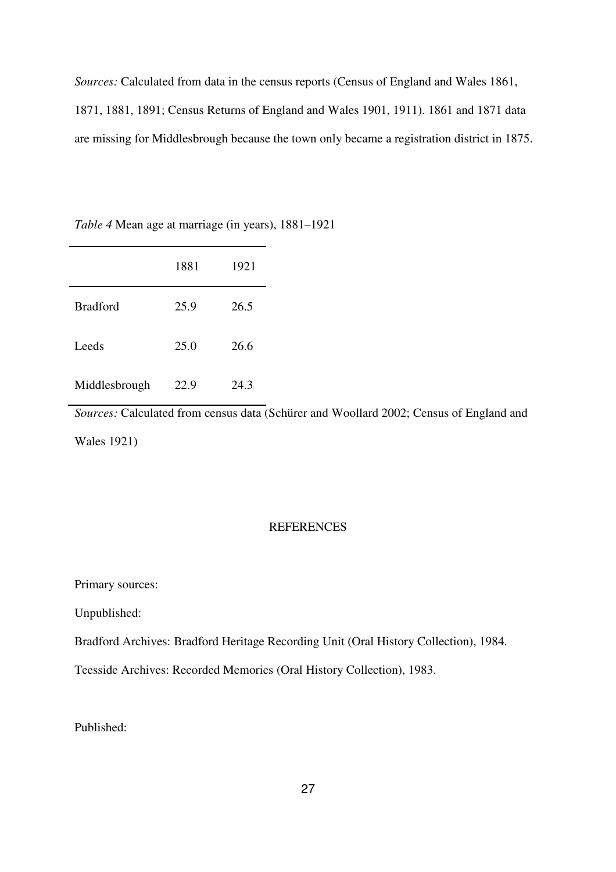*Sources:* Calculated from data in the census reports (Census of England and Wales 1861, 1871, 1881, 1891; Census Returns of England and Wales 1901, 1911). 1861 and 1871 data are missing for Middlesbrough because the town only became a registration district in 1875.

*Table 4* Mean age at marriage (in years), 1881–1921

|                 | 1881 | 1921 |
|-----------------|------|------|
| <b>Bradford</b> | 25.9 | 26.5 |
| Leeds           | 25.0 | 26.6 |
| Middlesbrough   | 22.9 | 24.3 |

*Sources:* Calculated from census data (Schürer and Woollard 2002; Census of England and Wales 1921)

#### **REFERENCES**

Primary sources:

Unpublished:

Bradford Archives: Bradford Heritage Recording Unit (Oral History Collection), 1984.

Teesside Archives: Recorded Memories (Oral History Collection), 1983.

Published: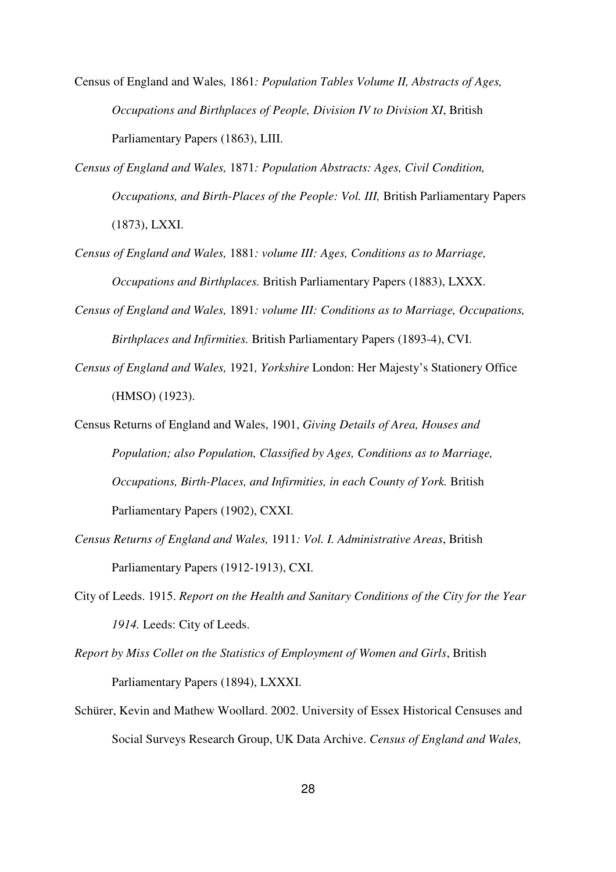- Census of England and Wales*,* 1861*: Population Tables Volume II, Abstracts of Ages, Occupations and Birthplaces of People, Division IV to Division XI*, British Parliamentary Papers (1863), LIII.
- *Census of England and Wales,* 1871*: Population Abstracts: Ages, Civil Condition, Occupations, and Birth-Places of the People: Vol. III, British Parliamentary Papers* (1873), LXXI.
- *Census of England and Wales,* 1881*: volume III: Ages, Conditions as to Marriage, Occupations and Birthplaces.* British Parliamentary Papers (1883), LXXX.
- *Census of England and Wales,* 1891*: volume III: Conditions as to Marriage, Occupations, Birthplaces and Infirmities.* British Parliamentary Papers (1893-4), CVI.
- *Census of England and Wales,* 1921*, Yorkshire* London: Her Majesty's Stationery Office (HMSO) (1923).

Census Returns of England and Wales, 1901, *Giving Details of Area, Houses and Population; also Population, Classified by Ages, Conditions as to Marriage, Occupations, Birth-Places, and Infirmities, in each County of York.* British Parliamentary Papers (1902), CXXI.

- *Census Returns of England and Wales,* 1911*: Vol. I. Administrative Areas*, British Parliamentary Papers (1912-1913), CXI.
- City of Leeds. 1915. *Report on the Health and Sanitary Conditions of the City for the Year 1914.* Leeds: City of Leeds.
- *Report by Miss Collet on the Statistics of Employment of Women and Girls*, British Parliamentary Papers (1894), LXXXI.
- Schürer, Kevin and Mathew Woollard. 2002. University of Essex Historical Censuses and Social Surveys Research Group, UK Data Archive. *Census of England and Wales,*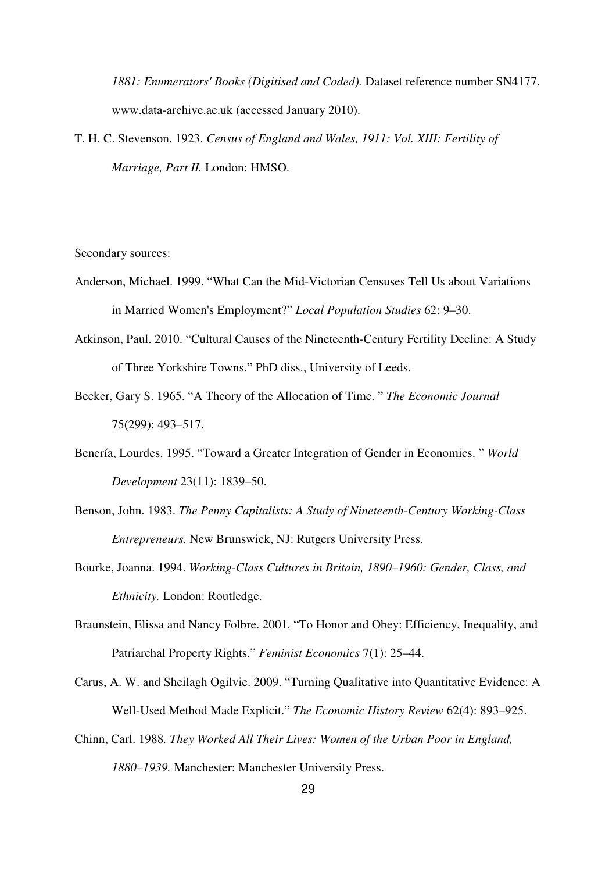*1881: Enumerators' Books (Digitised and Coded).* Dataset reference number SN4177. www.data-archive.ac.uk (accessed January 2010).

T. H. C. Stevenson. 1923. *Census of England and Wales, 1911: Vol. XIII: Fertility of Marriage, Part II.* London: HMSO.

Secondary sources:

- Anderson, Michael. 1999. "What Can the Mid-Victorian Censuses Tell Us about Variations in Married Women's Employment?" *Local Population Studies* 62: 9–30.
- Atkinson, Paul. 2010. "Cultural Causes of the Nineteenth-Century Fertility Decline: A Study of Three Yorkshire Towns." PhD diss., University of Leeds.
- Becker, Gary S. 1965. "A Theory of the Allocation of Time. " *The Economic Journal* 75(299): 493–517.
- Benería, Lourdes. 1995. "Toward a Greater Integration of Gender in Economics. " *World Development* 23(11): 1839–50.
- Benson, John. 1983. *The Penny Capitalists: A Study of Nineteenth-Century Working-Class Entrepreneurs.* New Brunswick, NJ: Rutgers University Press.
- Bourke, Joanna. 1994. *Working-Class Cultures in Britain, 1890–1960: Gender, Class, and Ethnicity.* London: Routledge.
- Braunstein, Elissa and Nancy Folbre. 2001. "To Honor and Obey: Efficiency, Inequality, and Patriarchal Property Rights." *Feminist Economics* 7(1): 25–44.
- Carus, A. W. and Sheilagh Ogilvie. 2009. "Turning Qualitative into Quantitative Evidence: A Well-Used Method Made Explicit." *The Economic History Review* 62(4): 893–925.
- Chinn, Carl. 1988*. They Worked All Their Lives: Women of the Urban Poor in England, 1880–1939.* Manchester: Manchester University Press.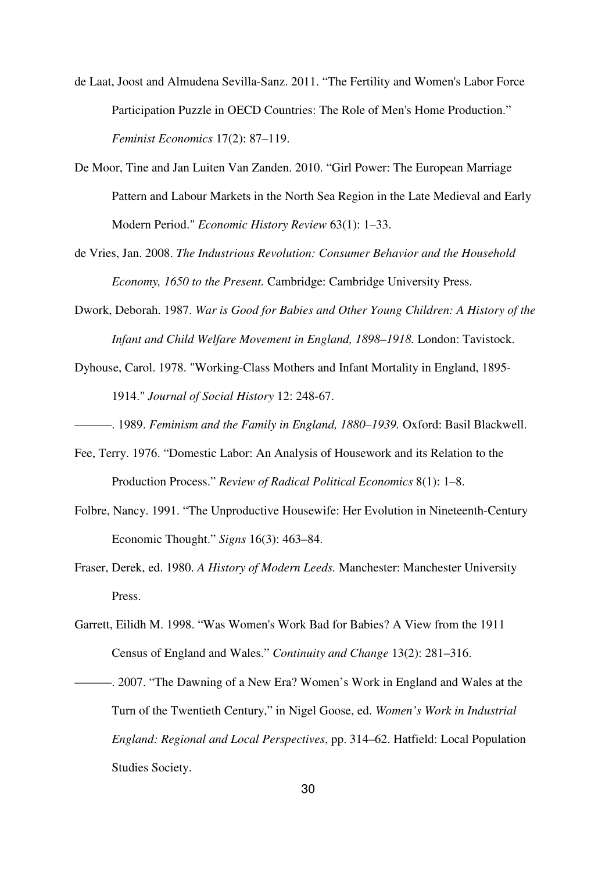- de Laat, Joost and Almudena Sevilla-Sanz. 2011. "The Fertility and Women's Labor Force Participation Puzzle in OECD Countries: The Role of Men's Home Production." *Feminist Economics* 17(2): 87–119.
- De Moor, Tine and Jan Luiten Van Zanden. 2010. "Girl Power: The European Marriage Pattern and Labour Markets in the North Sea Region in the Late Medieval and Early Modern Period." *Economic History Review* 63(1): 1–33.
- de Vries, Jan. 2008. *The Industrious Revolution: Consumer Behavior and the Household Economy, 1650 to the Present.* Cambridge: Cambridge University Press.
- Dwork, Deborah. 1987. *War is Good for Babies and Other Young Children: A History of the Infant and Child Welfare Movement in England, 1898–1918.* London: Tavistock.
- Dyhouse, Carol. 1978. "Working-Class Mothers and Infant Mortality in England, 1895- 1914." *Journal of Social History* 12: 248-67.

———. 1989. *Feminism and the Family in England, 1880–1939.* Oxford: Basil Blackwell.

- Fee, Terry. 1976. "Domestic Labor: An Analysis of Housework and its Relation to the Production Process." *Review of Radical Political Economics* 8(1): 1–8.
- Folbre, Nancy. 1991. "The Unproductive Housewife: Her Evolution in Nineteenth-Century Economic Thought." *Signs* 16(3): 463–84.
- Fraser, Derek, ed. 1980. *A History of Modern Leeds.* Manchester: Manchester University Press.
- Garrett, Eilidh M. 1998. "Was Women's Work Bad for Babies? A View from the 1911 Census of England and Wales." *Continuity and Change* 13(2): 281–316.
- ———. 2007. "The Dawning of a New Era? Women's Work in England and Wales at the Turn of the Twentieth Century," in Nigel Goose, ed. *Women's Work in Industrial England: Regional and Local Perspectives*, pp. 314–62. Hatfield: Local Population Studies Society.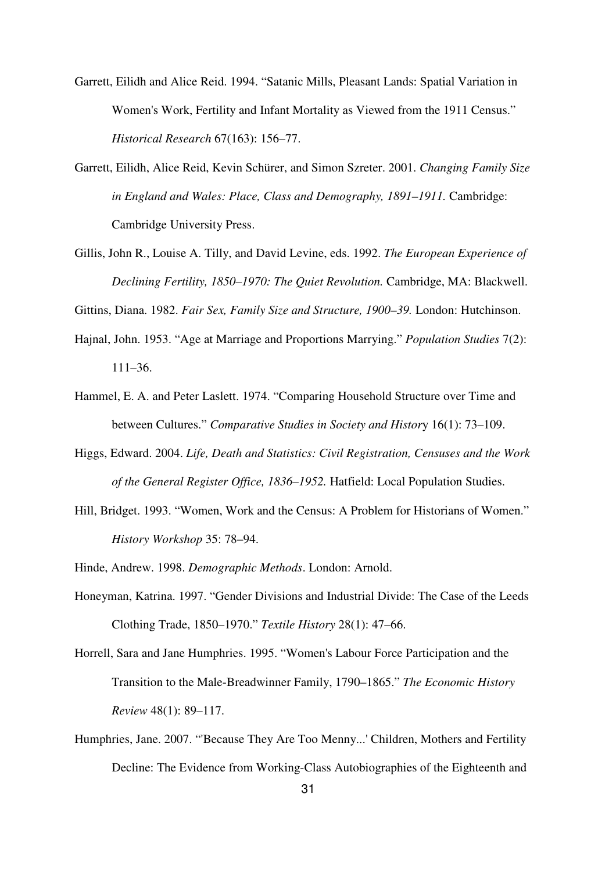- Garrett, Eilidh and Alice Reid. 1994. "Satanic Mills, Pleasant Lands: Spatial Variation in Women's Work, Fertility and Infant Mortality as Viewed from the 1911 Census." *Historical Research* 67(163): 156–77.
- Garrett, Eilidh, Alice Reid, Kevin Schürer, and Simon Szreter. 2001. *Changing Family Size in England and Wales: Place, Class and Demography, 1891–1911.* Cambridge: Cambridge University Press.
- Gillis, John R., Louise A. Tilly, and David Levine, eds. 1992. *The European Experience of Declining Fertility, 1850–1970: The Quiet Revolution.* Cambridge, MA: Blackwell.

Gittins, Diana. 1982. *Fair Sex, Family Size and Structure, 1900–39.* London: Hutchinson.

- Hajnal, John. 1953. "Age at Marriage and Proportions Marrying." *Population Studies* 7(2): 111–36.
- Hammel, E. A. and Peter Laslett. 1974. "Comparing Household Structure over Time and between Cultures." *Comparative Studies in Society and Histor*y 16(1): 73–109.
- Higgs, Edward. 2004. *Life, Death and Statistics: Civil Registration, Censuses and the Work of the General Register Office, 1836–1952.* Hatfield: Local Population Studies.
- Hill, Bridget. 1993. "Women, Work and the Census: A Problem for Historians of Women." *History Workshop* 35: 78–94.
- Hinde, Andrew. 1998. *Demographic Methods*. London: Arnold.
- Honeyman, Katrina. 1997. "Gender Divisions and Industrial Divide: The Case of the Leeds Clothing Trade, 1850–1970." *Textile History* 28(1): 47–66.
- Horrell, Sara and Jane Humphries. 1995. "Women's Labour Force Participation and the Transition to the Male-Breadwinner Family, 1790–1865." *The Economic History Review* 48(1): 89–117.
- Humphries, Jane. 2007. "'Because They Are Too Menny...' Children, Mothers and Fertility Decline: The Evidence from Working-Class Autobiographies of the Eighteenth and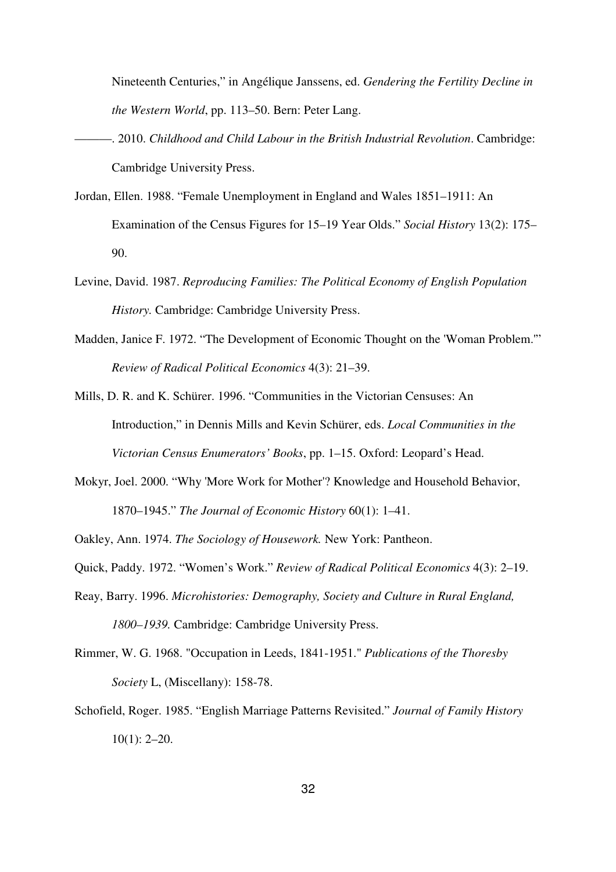Nineteenth Centuries," in Angélique Janssens, ed. *Gendering the Fertility Decline in the Western World*, pp. 113–50. Bern: Peter Lang.

- ———. 2010. *Childhood and Child Labour in the British Industrial Revolution*. Cambridge: Cambridge University Press.
- Jordan, Ellen. 1988. "Female Unemployment in England and Wales 1851–1911: An Examination of the Census Figures for 15–19 Year Olds." *Social History* 13(2): 175– 90.
- Levine, David. 1987. *Reproducing Families: The Political Economy of English Population History.* Cambridge: Cambridge University Press.
- Madden, Janice F. 1972. "The Development of Economic Thought on the 'Woman Problem.'" *Review of Radical Political Economics* 4(3): 21–39.
- Mills, D. R. and K. Schürer. 1996. "Communities in the Victorian Censuses: An Introduction," in Dennis Mills and Kevin Schürer, eds. *Local Communities in the Victorian Census Enumerators' Books*, pp. 1–15. Oxford: Leopard's Head.
- Mokyr, Joel. 2000. "Why 'More Work for Mother'? Knowledge and Household Behavior, 1870–1945." *The Journal of Economic History* 60(1): 1–41.
- Oakley, Ann. 1974. *The Sociology of Housework.* New York: Pantheon.
- Quick, Paddy. 1972. "Women's Work." *Review of Radical Political Economics* 4(3): 2–19.
- Reay, Barry. 1996. *Microhistories: Demography, Society and Culture in Rural England, 1800–1939.* Cambridge: Cambridge University Press.
- Rimmer, W. G. 1968. "Occupation in Leeds, 1841-1951." *Publications of the Thoresby Society* L, (Miscellany): 158-78.
- Schofield, Roger. 1985. "English Marriage Patterns Revisited." *Journal of Family History* 10(1): 2–20.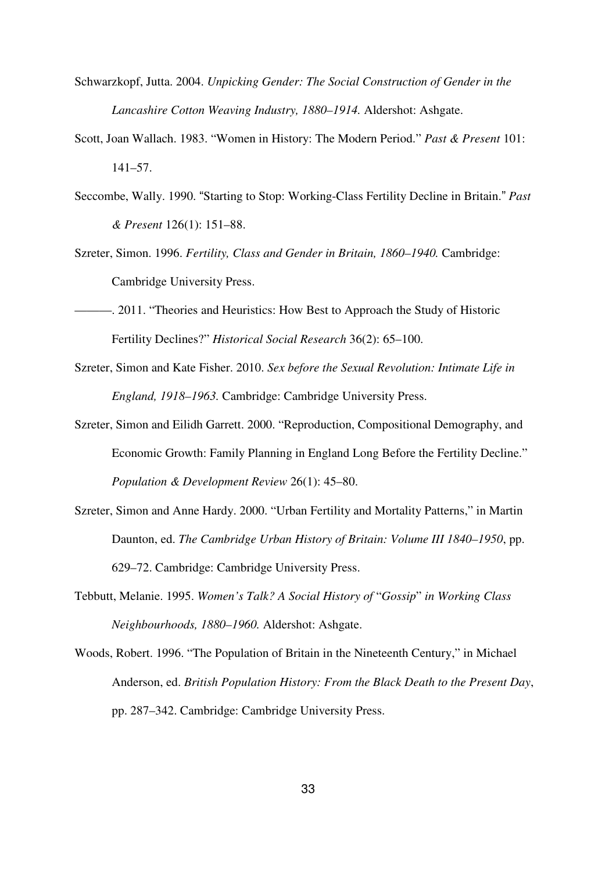- Schwarzkopf, Jutta. 2004. *Unpicking Gender: The Social Construction of Gender in the Lancashire Cotton Weaving Industry, 1880–1914.* Aldershot: Ashgate.
- Scott, Joan Wallach. 1983. "Women in History: The Modern Period." *Past & Present* 101: 141–57.
- Seccombe, Wally. 1990. "Starting to Stop: Working-Class Fertility Decline in Britain." *Past & Present* 126(1): 151–88.
- Szreter, Simon. 1996. *Fertility, Class and Gender in Britain, 1860–1940.* Cambridge: Cambridge University Press.
- ———. 2011. "Theories and Heuristics: How Best to Approach the Study of Historic Fertility Declines?" *Historical Social Research* 36(2): 65–100.
- Szreter, Simon and Kate Fisher. 2010. *Sex before the Sexual Revolution: Intimate Life in England, 1918–1963.* Cambridge: Cambridge University Press.
- Szreter, Simon and Eilidh Garrett. 2000. "Reproduction, Compositional Demography, and Economic Growth: Family Planning in England Long Before the Fertility Decline." *Population & Development Review* 26(1): 45–80.
- Szreter, Simon and Anne Hardy. 2000. "Urban Fertility and Mortality Patterns," in Martin Daunton, ed. *The Cambridge Urban History of Britain: Volume III 1840–1950*, pp. 629–72. Cambridge: Cambridge University Press.
- Tebbutt, Melanie. 1995. *Women's Talk? A Social History of* "*Gossip*" *in Working Class Neighbourhoods, 1880–1960.* Aldershot: Ashgate.
- Woods, Robert. 1996. "The Population of Britain in the Nineteenth Century," in Michael Anderson, ed. *British Population History: From the Black Death to the Present Day*, pp. 287–342. Cambridge: Cambridge University Press.